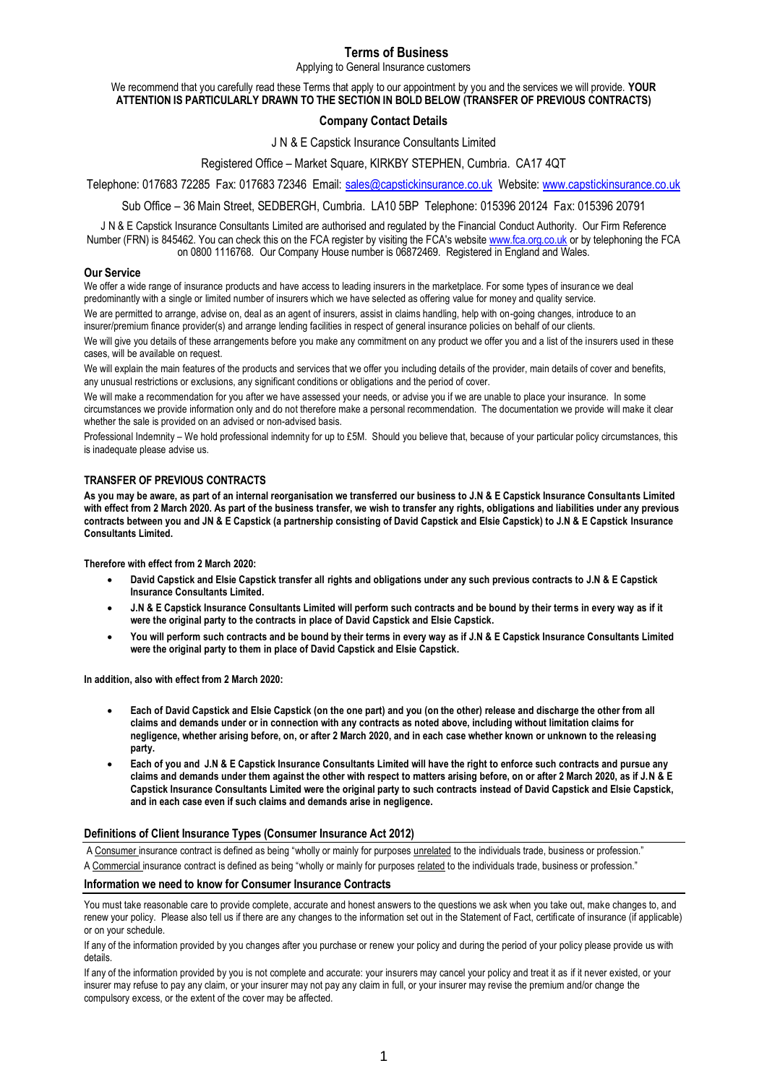# **Terms of Business**

Applying to General Insurance customers

# We recommend that you carefully read these Terms that apply to our appointment by you and the services we will provide. **YOUR ATTENTION IS PARTICULARLY DRAWN TO THE SECTION IN BOLD BELOW (TRANSFER OF PREVIOUS CONTRACTS)**

# **Company Contact Details**

J N & E Capstick Insurance Consultants Limited

Registered Office – Market Square, KIRKBY STEPHEN, Cumbria. CA17 4QT

Telephone: 017683 72285 Fax: 017683 72346 Email: [sales@capstickinsurance.co.uk](mailto:sales@capstickinsurance.co.uk) Website: [www.capstickinsurance.co.uk](http://www.capstickinsurance.co.uk/)

Sub Office – 36 Main Street, SEDBERGH, Cumbria. LA10 5BP Telephone: 015396 20124 Fax: 015396 20791

J N & E Capstick Insurance Consultants Limited are authorised and regulated by the Financial Conduct Authority. Our Firm Reference Number (FRN) is 845462. You can check this on the FCA register by visiting the FCA's website [www.fca.org.co.uk](http://www.fca.org.co.uk/) or by telephoning the FCA on 0800 1116768. Our Company House number is 06872469. Registered in England and Wales.

### **Our Service**

We offer a wide range of insurance products and have access to leading insurers in the marketplace. For some types of insurance we deal predominantly with a single or limited number of insurers which we have selected as offering value for money and quality service.

We are permitted to arrange, advise on, deal as an agent of insurers, assist in claims handling, help with on-going changes, introduce to an insurer/premium finance provider(s) and arrange lending facilities in respect of general insurance policies on behalf of our clients.

We will give you details of these arrangements before you make any commitment on any product we offer you and a list of the insurers used in these cases, will be available on request.

We will explain the main features of the products and services that we offer you including details of the provider, main details of cover and benefits, any unusual restrictions or exclusions, any significant conditions or obligations and the period of cover.

We will make a recommendation for you after we have assessed your needs, or advise you if we are unable to place your insurance. In some circumstances we provide information only and do not therefore make a personal recommendation. The documentation we provide will make it clear whether the sale is provided on an advised or non-advised basis.

Professional Indemnity – We hold professional indemnity for up to £5M. Should you believe that, because of your particular policy circumstances, this is inadequate please advise us.

# **TRANSFER OF PREVIOUS CONTRACTS**

**As you may be aware, as part of an internal reorganisation we transferred our business to J.N & E Capstick Insurance Consultants Limited with effect from 2 March 2020. As part of the business transfer, we wish to transfer any rights, obligations and liabilities under any previous contracts between you and JN & E Capstick (a partnership consisting of David Capstick and Elsie Capstick) to J.N & E Capstick Insurance Consultants Limited.**

**Therefore with effect from 2 March 2020:**

- **David Capstick and Elsie Capstick transfer all rights and obligations under any such previous contracts to J.N & E Capstick Insurance Consultants Limited.**
- J.N & E Capstick Insurance Consultants Limited will perform such contracts and be bound by their terms in every way as if it **were the original party to the contracts in place of David Capstick and Elsie Capstick.**
- **You will perform such contracts and be bound by their terms in every way as if J.N & E Capstick Insurance Consultants Limited were the original party to them in place of David Capstick and Elsie Capstick.**

**In addition, also with effect from 2 March 2020:**

- **Each of David Capstick and Elsie Capstick (on the one part) and you (on the other) release and discharge the other from all claims and demands under or in connection with any contracts as noted above, including without limitation claims for negligence, whether arising before, on, or after 2 March 2020, and in each case whether known or unknown to the releasing party.**
- **Each of you and J.N & E Capstick Insurance Consultants Limited will have the right to enforce such contracts and pursue any claims and demands under them against the other with respect to matters arising before, on or after 2 March 2020, as if J.N & E Capstick Insurance Consultants Limited were the original party to such contracts instead of David Capstick and Elsie Capstick, and in each case even if such claims and demands arise in negligence.**

# **Definitions of Client Insurance Types (Consumer Insurance Act 2012)**

A Consumer insurance contract is defined as being "wholly or mainly for purposes unrelated to the individuals trade, business or profession."

A Commercial insurance contract is defined as being "wholly or mainly for purposes related to the individuals trade, business or profession."

#### **Information we need to know for Consumer Insurance Contracts**

You must take reasonable care to provide complete, accurate and honest answers to the questions we ask when you take out, make changes to, and renew your policy. Please also tell us if there are any changes to the information set out in the Statement of Fact, certificate of insurance (if applicable) or on your schedule.

If any of the information provided by you changes after you purchase or renew your policy and during the period of your policy please provide us with details.

If any of the information provided by you is not complete and accurate: your insurers may cancel your policy and treat it as if it never existed, or your insurer may refuse to pay any claim, or your insurer may not pay any claim in full, or your insurer may revise the premium and/or change the compulsory excess, or the extent of the cover may be affected.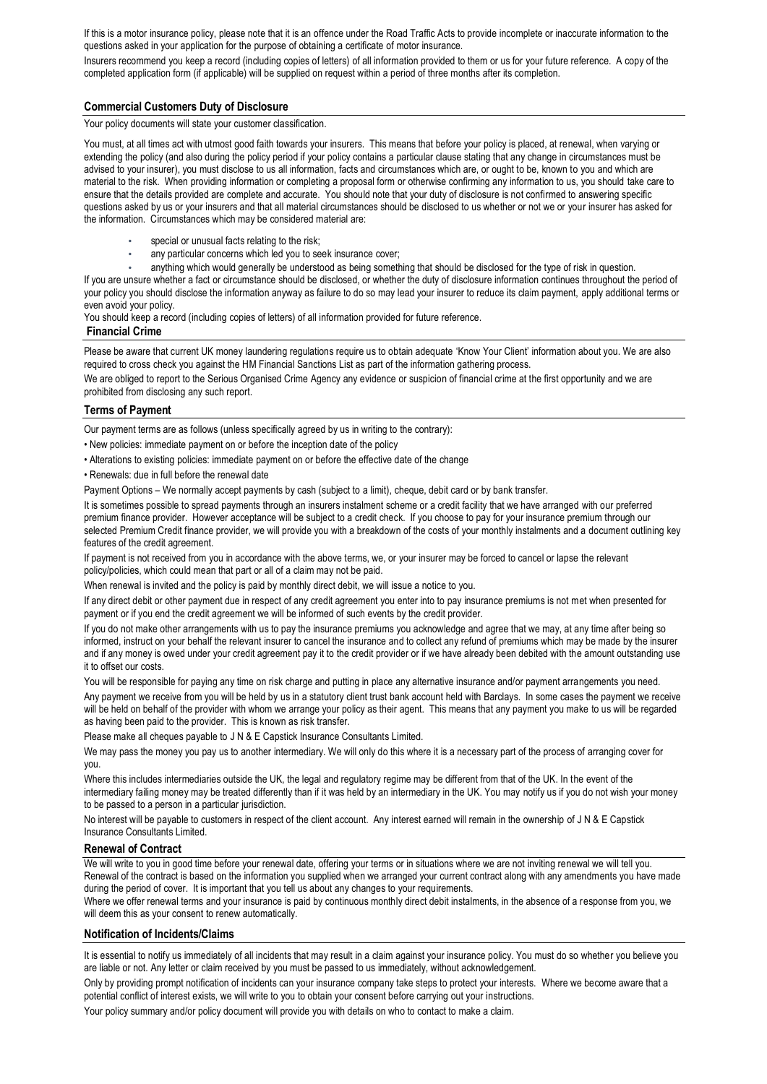If this is a motor insurance policy, please note that it is an offence under the Road Traffic Acts to provide incomplete or inaccurate information to the questions asked in your application for the purpose of obtaining a certificate of motor insurance.

Insurers recommend you keep a record (including copies of letters) of all information provided to them or us for your future reference. A copy of the completed application form (if applicable) will be supplied on request within a period of three months after its completion.

# **Commercial Customers Duty of Disclosure**

Your policy documents will state your customer classification.

You must, at all times act with utmost good faith towards your insurers. This means that before your policy is placed, at renewal, when varying or extending the policy (and also during the policy period if your policy contains a particular clause stating that any change in circumstances must be advised to your insurer), you must disclose to us all information, facts and circumstances which are, or ought to be, known to you and which are material to the risk. When providing information or completing a proposal form or otherwise confirming any information to us, you should take care to ensure that the details provided are complete and accurate. You should note that your duty of disclosure is not confirmed to answering specific questions asked by us or your insurers and that all material circumstances should be disclosed to us whether or not we or your insurer has asked for the information. Circumstances which may be considered material are:

- special or unusual facts relating to the risk;
- any particular concerns which led you to seek insurance cover;
- anything which would generally be understood as being something that should be disclosed for the type of risk in question.

If you are unsure whether a fact or circumstance should be disclosed, or whether the duty of disclosure information continues throughout the period of your policy you should disclose the information anyway as failure to do so may lead your insurer to reduce its claim payment, apply additional terms or even avoid your policy.

You should keep a record (including copies of letters) of all information provided for future reference.

### **Financial Crime**

Please be aware that current UK money laundering regulations require us to obtain adequate 'Know Your Client' information about you. We are also required to cross check you against the HM Financial Sanctions List as part of the information gathering process.

We are obliged to report to the Serious Organised Crime Agency any evidence or suspicion of financial crime at the first opportunity and we are prohibited from disclosing any such report.

## **Terms of Payment**

Our payment terms are as follows (unless specifically agreed by us in writing to the contrary):

- New policies: immediate payment on or before the inception date of the policy
- Alterations to existing policies: immediate payment on or before the effective date of the change
- Renewals: due in full before the renewal date

Payment Options – We normally accept payments by cash (subject to a limit), cheque, debit card or by bank transfer.

It is sometimes possible to spread payments through an insurers instalment scheme or a credit facility that we have arranged with our preferred premium finance provider. However acceptance will be subject to a credit check. If you choose to pay for your insurance premium through our selected Premium Credit finance provider, we will provide you with a breakdown of the costs of your monthly instalments and a document outlining key features of the credit agreement.

If payment is not received from you in accordance with the above terms, we, or your insurer may be forced to cancel or lapse the relevant policy/policies, which could mean that part or all of a claim may not be paid.

When renewal is invited and the policy is paid by monthly direct debit, we will issue a notice to you.

If any direct debit or other payment due in respect of any credit agreement you enter into to pay insurance premiums is not met when presented for payment or if you end the credit agreement we will be informed of such events by the credit provider.

If you do not make other arrangements with us to pay the insurance premiums you acknowledge and agree that we may, at any time after being so informed, instruct on your behalf the relevant insurer to cancel the insurance and to collect any refund of premiums which may be made by the insurer and if any money is owed under your credit agreement pay it to the credit provider or if we have already been debited with the amount outstanding use it to offset our costs.

You will be responsible for paying any time on risk charge and putting in place any alternative insurance and/or payment arrangements you need.

Any payment we receive from you will be held by us in a statutory client trust bank account held with Barclays. In some cases the payment we receive will be held on behalf of the provider with whom we arrange your policy as their agent. This means that any payment you make to us will be regarded as having been paid to the provider. This is known as risk transfer.

Please make all cheques payable to J N & E Capstick Insurance Consultants Limited.

We may pass the money you pay us to another intermediary. We will only do this where it is a necessary part of the process of arranging cover for you.

Where this includes intermediaries outside the UK, the legal and regulatory regime may be different from that of the UK. In the event of the intermediary failing money may be treated differently than if it was held by an intermediary in the UK. You may notify us if you do not wish your money to be passed to a person in a particular jurisdiction.

No interest will be payable to customers in respect of the client account. Any interest earned will remain in the ownership of J N & E Capstick Insurance Consultants Limited.

#### **Renewal of Contract**

We will write to you in good time before your renewal date, offering your terms or in situations where we are not inviting renewal we will tell you. Renewal of the contract is based on the information you supplied when we arranged your current contract along with any amendments you have made during the period of cover. It is important that you tell us about any changes to your requirements.

Where we offer renewal terms and your insurance is paid by continuous monthly direct debit instalments, in the absence of a response from you, we will deem this as your consent to renew automatically.

# **Notification of Incidents/Claims**

It is essential to notify us immediately of all incidents that may result in a claim against your insurance policy. You must do so whether you believe you are liable or not. Any letter or claim received by you must be passed to us immediately, without acknowledgement.

Only by providing prompt notification of incidents can your insurance company take steps to protect your interests. Where we become aware that a potential conflict of interest exists, we will write to you to obtain your consent before carrying out your instructions.

Your policy summary and/or policy document will provide you with details on who to contact to make a claim.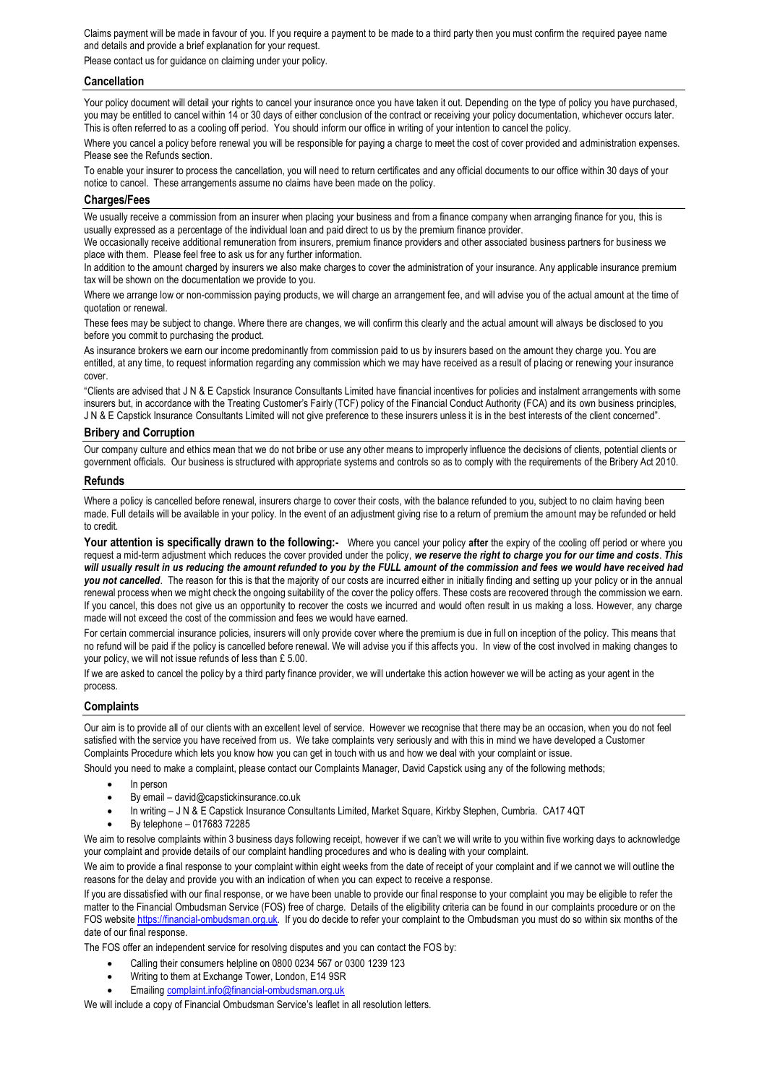Claims payment will be made in favour of you. If you require a payment to be made to a third party then you must confirm the required payee name and details and provide a brief explanation for your request.

Please contact us for guidance on claiming under your policy.

# **Cancellation**

Your policy document will detail your rights to cancel your insurance once you have taken it out. Depending on the type of policy you have purchased, you may be entitled to cancel within 14 or 30 days of either conclusion of the contract or receiving your policy documentation, whichever occurs later. This is often referred to as a cooling off period. You should inform our office in writing of your intention to cancel the policy.

Where you cancel a policy before renewal you will be responsible for paying a charge to meet the cost of cover provided and administration expenses. Please see the Refunds section.

To enable your insurer to process the cancellation, you will need to return certificates and any official documents to our office within 30 days of your notice to cancel. These arrangements assume no claims have been made on the policy.

# **Charges/Fees**

We usually receive a commission from an insurer when placing your business and from a finance company when arranging finance for you, this is usually expressed as a percentage of the individual loan and paid direct to us by the premium finance provider.

We occasionally receive additional remuneration from insurers, premium finance providers and other associated business partners for business we place with them. Please feel free to ask us for any further information.

In addition to the amount charged by insurers we also make charges to cover the administration of your insurance. Any applicable insurance premium tax will be shown on the documentation we provide to you.

Where we arrange low or non-commission paying products, we will charge an arrangement fee, and will advise you of the actual amount at the time of quotation or renewal.

These fees may be subject to change. Where there are changes, we will confirm this clearly and the actual amount will always be disclosed to you before you commit to purchasing the product.

As insurance brokers we earn our income predominantly from commission paid to us by insurers based on the amount they charge you. You are entitled, at any time, to request information regarding any commission which we may have received as a result of placing or renewing your insurance cover.

"Clients are advised that J N & E Capstick Insurance Consultants Limited have financial incentives for policies and instalment arrangements with some insurers but, in accordance with the Treating Customer's Fairly (TCF) policy of the Financial Conduct Authority (FCA) and its own business principles, JN & E Capstick Insurance Consultants Limited will not give preference to these insurers unless it is in the best interests of the client concerned".

### **Bribery and Corruption**

Our company culture and ethics mean that we do not bribe or use any other means to improperly influence the decisions of clients, potential clients or government officials. Our business is structured with appropriate systems and controls so as to comply with the requirements of the Bribery Act 2010.

#### **Refunds**

Where a policy is cancelled before renewal, insurers charge to cover their costs, with the balance refunded to you, subject to no claim having been made. Full details will be available in your policy. In the event of an adjustment giving rise to a return of premium the amount may be refunded or held to credit.

**Your attention is specifically drawn to the following:-** Where you cancel your policy **after** the expiry of the cooling off period or where you request a mid-term adjustment which reduces the cover provided under the policy, *we reserve the right to charge you for our time and costs*. *This*  will usually result in us reducing the amount refunded to you by the FULL amount of the commission and fees we would have received had *you not cancelled*. The reason for this is that the majority of our costs are incurred either in initially finding and setting up your policy or in the annual renewal process when we might check the ongoing suitability of the cover the policy offers. These costs are recovered through the commission we earn. If you cancel, this does not give us an opportunity to recover the costs we incurred and would often result in us making a loss. However, any charge made will not exceed the cost of the commission and fees we would have earned.

For certain commercial insurance policies, insurers will only provide cover where the premium is due in full on inception of the policy. This means that no refund will be paid if the policy is cancelled before renewal. We will advise you if this affects you. In view of the cost involved in making changes to your policy, we will not issue refunds of less than £ 5.00.

If we are asked to cancel the policy by a third party finance provider, we will undertake this action however we will be acting as your agent in the process.

#### **Complaints**

Our aim is to provide all of our clients with an excellent level of service. However we recognise that there may be an occasion, when you do not feel satisfied with the service you have received from us. We take complaints very seriously and with this in mind we have developed a Customer Complaints Procedure which lets you know how you can get in touch with us and how we deal with your complaint or issue.

Should you need to make a complaint, please contact our Complaints Manager, David Capstick using any of the following methods;

- In person
- By email david@capstickinsurance.co.uk
- In writing J N & E Capstick Insurance Consultants Limited, Market Square, Kirkby Stephen, Cumbria. CA17 4QT
- By telephone 017683 72285

We aim to resolve complaints within 3 business days following receipt, however if we can't we will write to you within five working days to acknowledge your complaint and provide details of our complaint handling procedures and who is dealing with your complaint.

We aim to provide a final response to your complaint within eight weeks from the date of receipt of your complaint and if we cannot we will outline the reasons for the delay and provide you with an indication of when you can expect to receive a response.

If you are dissatisfied with our final response, or we have been unable to provide our final response to your complaint you may be eligible to refer the matter to the Financial Ombudsman Service (FOS) free of charge. Details of the eligibility criteria can be found in our complaints procedure or on the FOS website [https://financial-ombudsman.org.uk.](https://financial-ombudsman.org.uk/) If you do decide to refer your complaint to the Ombudsman you must do so within six months of the date of our final response.

The FOS offer an independent service for resolving disputes and you can contact the FOS by:

- Calling their consumers helpline on 0800 0234 567 or 0300 1239 123
- Writing to them at Exchange Tower, London, E14 9SR
- Emailing [complaint.info@financial-ombudsman.org.uk](mailto:complaint.info@financial-ombudsman.org.uk)

We will include a copy of Financial Ombudsman Service's leaflet in all resolution letters.